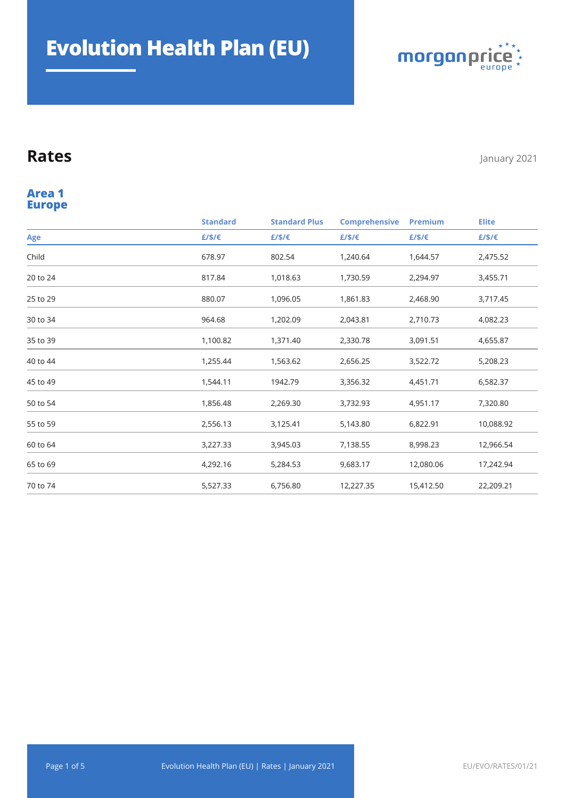

#### **Europe Area 1**

|          | <b>Standard</b> | <b>Standard Plus</b> | <b>Comprehensive</b> | <b>Premium</b> | <b>Elite</b> |
|----------|-----------------|----------------------|----------------------|----------------|--------------|
| Age      | £/\$/€          | £/\$/€               | £/\$/€               | £/\$/€         | £/\$/€       |
| Child    | 678.97          | 802.54               | 1,240.64             | 1,644.57       | 2,475.52     |
| 20 to 24 | 817.84          | 1,018.63             | 1,730.59             | 2,294.97       | 3,455.71     |
| 25 to 29 | 880.07          | 1,096.05             | 1,861.83             | 2,468.90       | 3,717.45     |
| 30 to 34 | 964.68          | 1,202.09             | 2,043.81             | 2,710.73       | 4,082.23     |
| 35 to 39 | 1,100.82        | 1,371.40             | 2,330.78             | 3,091.51       | 4,655.87     |
| 40 to 44 | 1,255.44        | 1,563.62             | 2,656.25             | 3,522.72       | 5,208.23     |
| 45 to 49 | 1,544.11        | 1942.79              | 3,356.32             | 4,451.71       | 6,582.37     |
| 50 to 54 | 1,856.48        | 2,269.30             | 3,732.93             | 4,951.17       | 7,320.80     |
| 55 to 59 | 2,556.13        | 3,125.41             | 5,143.80             | 6,822.91       | 10,088.92    |
| 60 to 64 | 3,227.33        | 3,945.03             | 7,138.55             | 8,998.23       | 12,966.54    |
| 65 to 69 | 4,292.16        | 5,284.53             | 9,683.17             | 12,080.06      | 17,242.94    |
| 70 to 74 | 5,527.33        | 6,756.80             | 12,227.35            | 15,412.50      | 22,209.21    |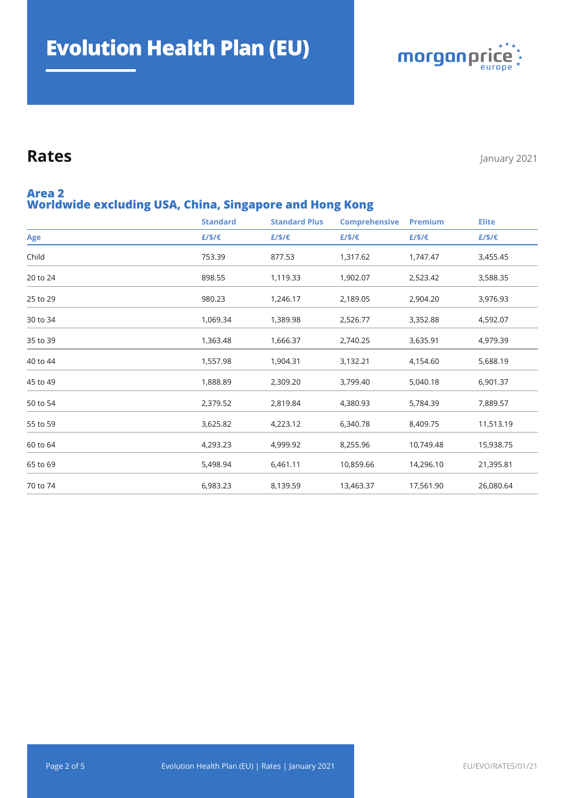

#### **Worldwide excluding USA, China, Singapore and Hong Kong Area 2**

|          | <b>Standard</b> | <b>Standard Plus</b> | <b>Comprehensive</b> | Premium   | <b>Elite</b> |
|----------|-----------------|----------------------|----------------------|-----------|--------------|
| Age      | £/\$/€          | £/\$/€               | £/\$/€               | £/\$/€    | E/S/E        |
| Child    | 753.39          | 877.53               | 1,317.62             | 1,747.47  | 3,455.45     |
| 20 to 24 | 898.55          | 1,119.33             | 1,902.07             | 2,523.42  | 3,588.35     |
| 25 to 29 | 980.23          | 1,246.17             | 2,189.05             | 2,904.20  | 3,976.93     |
| 30 to 34 | 1,069.34        | 1,389.98             | 2,526.77             | 3,352.88  | 4,592.07     |
| 35 to 39 | 1,363.48        | 1,666.37             | 2,740.25             | 3,635.91  | 4,979.39     |
| 40 to 44 | 1,557.98        | 1,904.31             | 3,132.21             | 4,154.60  | 5,688.19     |
| 45 to 49 | 1,888.89        | 2,309.20             | 3,799.40             | 5,040.18  | 6,901.37     |
| 50 to 54 | 2,379.52        | 2,819.84             | 4,380.93             | 5,784.39  | 7,889.57     |
| 55 to 59 | 3,625.82        | 4,223.12             | 6,340.78             | 8,409.75  | 11,513.19    |
| 60 to 64 | 4,293.23        | 4,999.92             | 8,255.96             | 10,749.48 | 15,938.75    |
| 65 to 69 | 5,498.94        | 6,461.11             | 10,859.66            | 14,296.10 | 21,395.81    |
| 70 to 74 | 6,983.23        | 8,139.59             | 13,463.37            | 17,561.90 | 26,080.64    |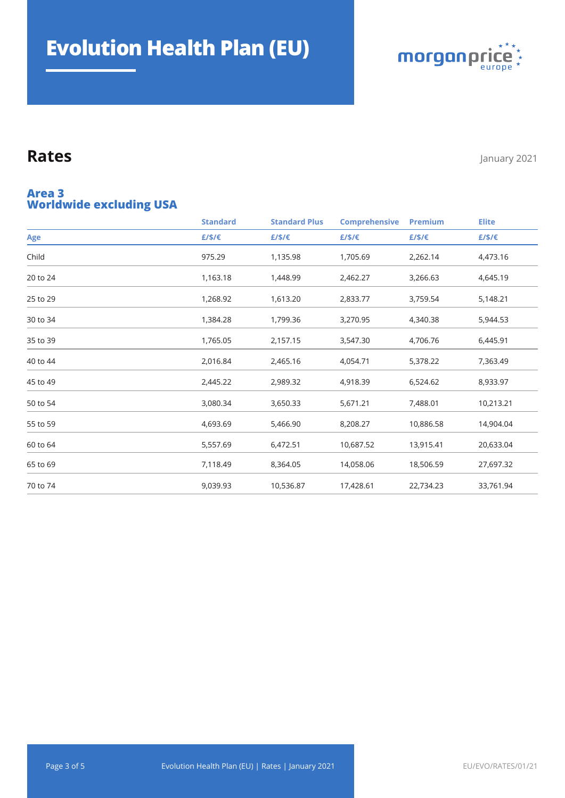

#### **Worldwide excluding USA Area 3**

|          | <b>Standard</b> | <b>Standard Plus</b> | <b>Comprehensive</b> | <b>Premium</b> | <b>Elite</b> |
|----------|-----------------|----------------------|----------------------|----------------|--------------|
| Age      | E/S/E           | E/S/E                | £/\$/€               | E/S/E          | E/S/E        |
| Child    | 975.29          | 1,135.98             | 1,705.69             | 2,262.14       | 4,473.16     |
| 20 to 24 | 1,163.18        | 1,448.99             | 2,462.27             | 3,266.63       | 4,645.19     |
| 25 to 29 | 1,268.92        | 1,613.20             | 2,833.77             | 3,759.54       | 5,148.21     |
| 30 to 34 | 1,384.28        | 1,799.36             | 3,270.95             | 4,340.38       | 5,944.53     |
| 35 to 39 | 1,765.05        | 2,157.15             | 3,547.30             | 4,706.76       | 6,445.91     |
| 40 to 44 | 2,016.84        | 2,465.16             | 4,054.71             | 5,378.22       | 7,363.49     |
| 45 to 49 | 2,445.22        | 2,989.32             | 4,918.39             | 6,524.62       | 8,933.97     |
| 50 to 54 | 3,080.34        | 3,650.33             | 5,671.21             | 7,488.01       | 10,213.21    |
| 55 to 59 | 4,693.69        | 5,466.90             | 8,208.27             | 10,886.58      | 14,904.04    |
| 60 to 64 | 5,557.69        | 6,472.51             | 10,687.52            | 13,915.41      | 20,633.04    |
| 65 to 69 | 7,118.49        | 8,364.05             | 14,058.06            | 18,506.59      | 27,697.32    |
| 70 to 74 | 9,039.93        | 10,536.87            | 17,428.61            | 22,734.23      | 33,761.94    |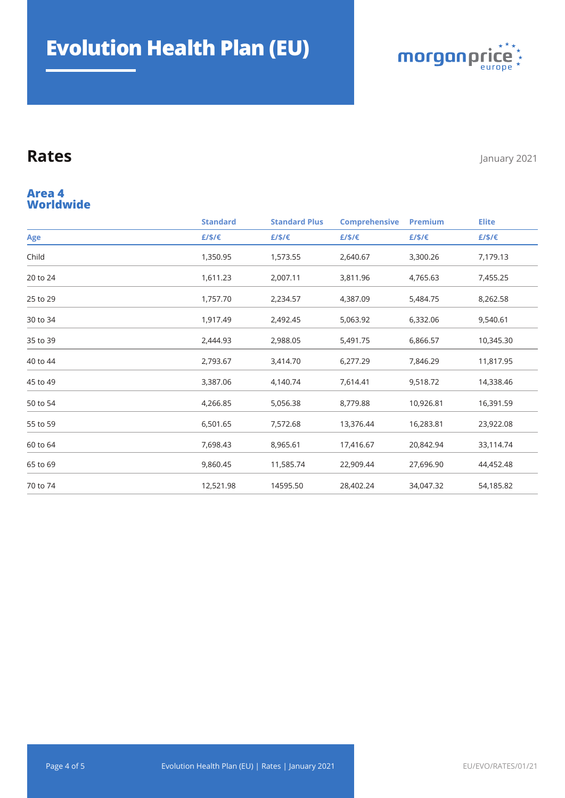

#### **Worldwide Area 4**

|          | <b>Standard</b> | <b>Standard Plus</b> | <b>Comprehensive</b> | Premium   | <b>Elite</b> |
|----------|-----------------|----------------------|----------------------|-----------|--------------|
| Age      | £/\$/€          | £/\$/€               | E/S/E                | £/\$/€    | £/\$/€       |
| Child    | 1,350.95        | 1,573.55             | 2,640.67             | 3,300.26  | 7,179.13     |
| 20 to 24 | 1,611.23        | 2,007.11             | 3,811.96             | 4,765.63  | 7,455.25     |
| 25 to 29 | 1,757.70        | 2,234.57             | 4,387.09             | 5,484.75  | 8,262.58     |
| 30 to 34 | 1,917.49        | 2,492.45             | 5,063.92             | 6,332.06  | 9,540.61     |
| 35 to 39 | 2,444.93        | 2,988.05             | 5,491.75             | 6,866.57  | 10,345.30    |
| 40 to 44 | 2,793.67        | 3,414.70             | 6,277.29             | 7,846.29  | 11,817.95    |
| 45 to 49 | 3,387.06        | 4,140.74             | 7,614.41             | 9,518.72  | 14,338.46    |
| 50 to 54 | 4,266.85        | 5,056.38             | 8,779.88             | 10,926.81 | 16,391.59    |
| 55 to 59 | 6,501.65        | 7,572.68             | 13,376.44            | 16,283.81 | 23,922.08    |
| 60 to 64 | 7,698.43        | 8,965.61             | 17,416.67            | 20,842.94 | 33,114.74    |
| 65 to 69 | 9,860.45        | 11,585.74            | 22,909.44            | 27,696.90 | 44,452.48    |
| 70 to 74 | 12,521.98       | 14595.50             | 28,402.24            | 34,047.32 | 54,185.82    |